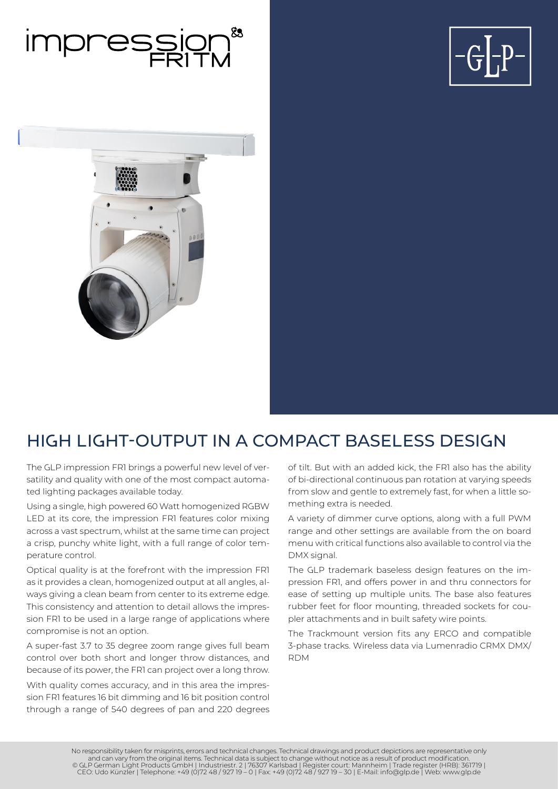





# HIGH LIGHT-OUTPUT IN A COMPACT BASELESS DESIGN

The GLP impression FR1 brings a powerful new level of versatility and quality with one of the most compact automated lighting packages available today.

Using a single, high powered 60 Watt homogenized RGBW LED at its core, the impression FR1 features color mixing across a vast spectrum, whilst at the same time can project a crisp, punchy white light, with a full range of color temperature control.

Optical quality is at the forefront with the impression FR1 as it provides a clean, homogenized output at all angles, always giving a clean beam from center to its extreme edge. This consistency and attention to detail allows the impression FR1 to be used in a large range of applications where compromise is not an option.

A super-fast 3.7 to 35 degree zoom range gives full beam control over both short and longer throw distances, and because of its power, the FR1 can project over a long throw.

With quality comes accuracy, and in this area the impression FR1 features 16 bit dimming and 16 bit position control through a range of 540 degrees of pan and 220 degrees of tilt. But with an added kick, the FR1 also has the ability of bi-directional continuous pan rotation at varying speeds from slow and gentle to extremely fast, for when a little something extra is needed.

A variety of dimmer curve options, along with a full PWM range and other settings are available from the on board menu with critical functions also available to control via the DMX signal.

The GLP trademark baseless design features on the impression FR1, and offers power in and thru connectors for ease of setting up multiple units. The base also features rubber feet for floor mounting, threaded sockets for coupler attachments and in built safety wire points.

The Trackmount version fits any ERCO and compatible 3-phase tracks. Wireless data via Lumenradio CRMX DMX/ RDM